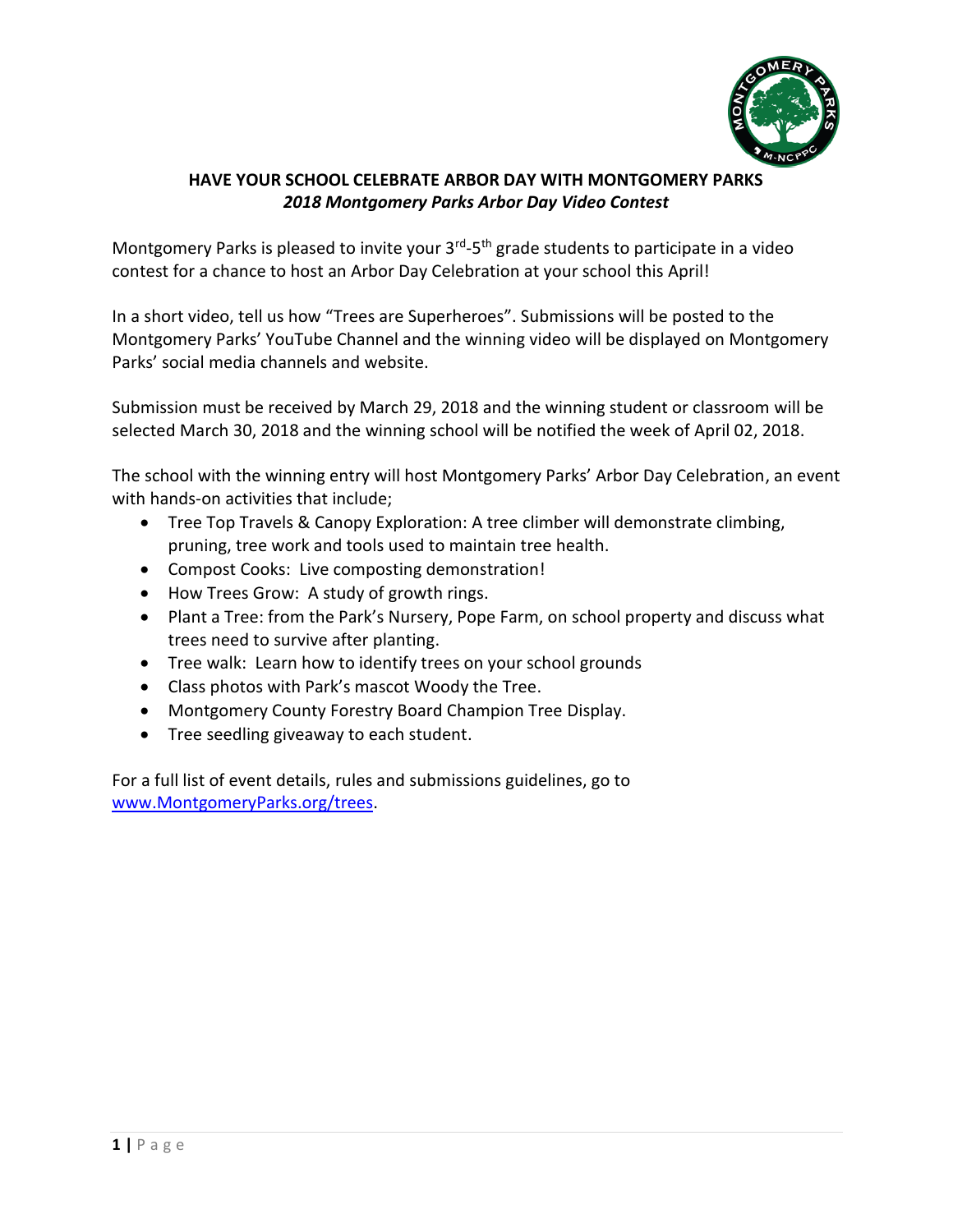

## **HAVE YOUR SCHOOL CELEBRATE ARBOR DAY WITH MONTGOMERY PARKS** *2018 Montgomery Parks Arbor Day Video Contest*

Montgomery Parks is pleased to invite your 3<sup>rd</sup>-5<sup>th</sup> grade students to participate in a video contest for a chance to host an Arbor Day Celebration at your school this April!

In a short video, tell us how "Trees are Superheroes". Submissions will be posted to the Montgomery Parks' YouTube Channel and the winning video will be displayed on Montgomery Parks' social media channels and website.

Submission must be received by March 29, 2018 and the winning student or classroom will be selected March 30, 2018 and the winning school will be notified the week of April 02, 2018.

The school with the winning entry will host Montgomery Parks' Arbor Day Celebration, an event with hands-on activities that include;

- Tree Top Travels & Canopy Exploration: A tree climber will demonstrate climbing, pruning, tree work and tools used to maintain tree health.
- Compost Cooks: Live composting demonstration!
- How Trees Grow: A study of growth rings.
- Plant a Tree: from the Park's Nursery, Pope Farm, on school property and discuss what trees need to survive after planting.
- Tree walk: Learn how to identify trees on your school grounds
- Class photos with Park's mascot Woody the Tree.
- Montgomery County Forestry Board Champion Tree Display.
- Tree seedling giveaway to each student.

For a full list of event details, rules and submissions guidelines, go to [www.MontgomeryParks.org/trees.](http://www.montgomeryparks.org/trees)